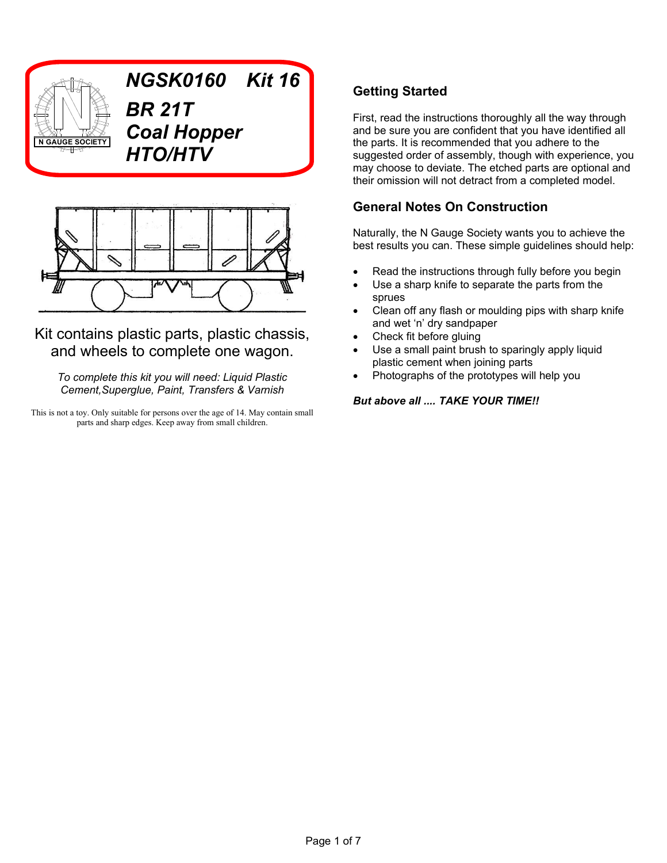

*NGSK0160 Kit 16 BR 21T Coal Hopper HTO/HTV*



Kit contains plastic parts, plastic chassis, and wheels to complete one wagon.

*To complete this kit you will need: Liquid Plastic Cement,Superglue, Paint, Transfers & Varnish*

This is not a toy. Only suitable for persons over the age of 14. May contain small parts and sharp edges. Keep away from small children.

# **Getting Started**

First, read the instructions thoroughly all the way through and be sure you are confident that you have identified all the parts. It is recommended that you adhere to the suggested order of assembly, though with experience, you may choose to deviate. The etched parts are optional and their omission will not detract from a completed model.

## **General Notes On Construction**

Naturally, the N Gauge Society wants you to achieve the best results you can. These simple guidelines should help:

- Read the instructions through fully before you begin
- Use a sharp knife to separate the parts from the sprues
- Clean off any flash or moulding pips with sharp knife and wet 'n' dry sandpaper
- Check fit before gluing
- Use a small paint brush to sparingly apply liquid plastic cement when joining parts
- Photographs of the prototypes will help you

#### *But above all .... TAKE YOUR TIME!!*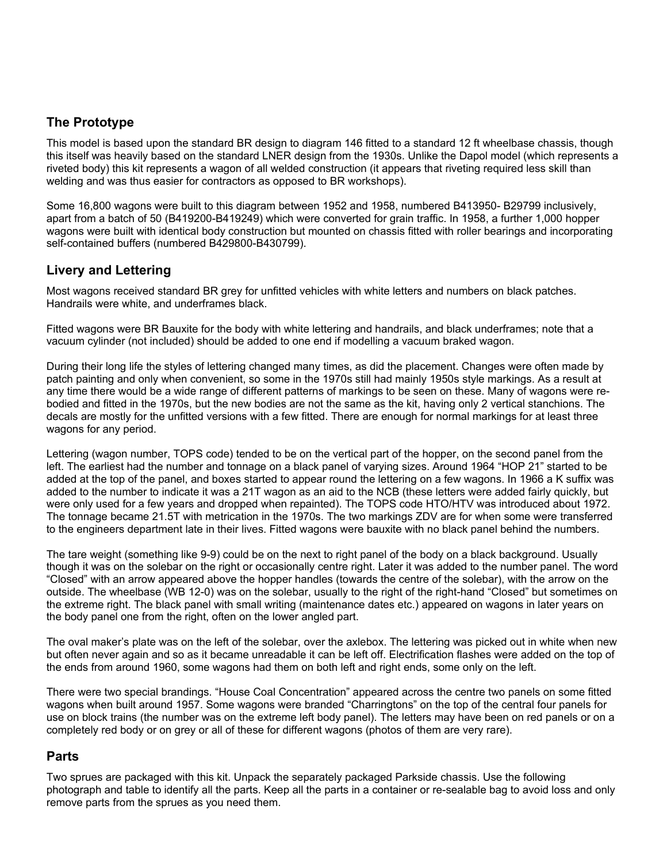### **The Prototype**

This model is based upon the standard BR design to diagram 146 fitted to a standard 12 ft wheelbase chassis, though this itself was heavily based on the standard LNER design from the 1930s. Unlike the Dapol model (which represents a riveted body) this kit represents a wagon of all welded construction (it appears that riveting required less skill than welding and was thus easier for contractors as opposed to BR workshops).

Some 16,800 wagons were built to this diagram between 1952 and 1958, numbered B413950- B29799 inclusively, apart from a batch of 50 (B419200-B419249) which were converted for grain traffic. In 1958, a further 1,000 hopper wagons were built with identical body construction but mounted on chassis fitted with roller bearings and incorporating self-contained buffers (numbered B429800-B430799).

### **Livery and Lettering**

Most wagons received standard BR grey for unfitted vehicles with white letters and numbers on black patches. Handrails were white, and underframes black.

Fitted wagons were BR Bauxite for the body with white lettering and handrails, and black underframes; note that a vacuum cylinder (not included) should be added to one end if modelling a vacuum braked wagon.

During their long life the styles of lettering changed many times, as did the placement. Changes were often made by patch painting and only when convenient, so some in the 1970s still had mainly 1950s style markings. As a result at any time there would be a wide range of different patterns of markings to be seen on these. Many of wagons were rebodied and fitted in the 1970s, but the new bodies are not the same as the kit, having only 2 vertical stanchions. The decals are mostly for the unfitted versions with a few fitted. There are enough for normal markings for at least three wagons for any period.

Lettering (wagon number, TOPS code) tended to be on the vertical part of the hopper, on the second panel from the left. The earliest had the number and tonnage on a black panel of varying sizes. Around 1964 "HOP 21" started to be added at the top of the panel, and boxes started to appear round the lettering on a few wagons. In 1966 a K suffix was added to the number to indicate it was a 21T wagon as an aid to the NCB (these letters were added fairly quickly, but were only used for a few years and dropped when repainted). The TOPS code HTO/HTV was introduced about 1972. The tonnage became 21.5T with metrication in the 1970s. The two markings ZDV are for when some were transferred to the engineers department late in their lives. Fitted wagons were bauxite with no black panel behind the numbers.

The tare weight (something like 9-9) could be on the next to right panel of the body on a black background. Usually though it was on the solebar on the right or occasionally centre right. Later it was added to the number panel. The word "Closed" with an arrow appeared above the hopper handles (towards the centre of the solebar), with the arrow on the outside. The wheelbase (WB 12-0) was on the solebar, usually to the right of the right-hand "Closed" but sometimes on the extreme right. The black panel with small writing (maintenance dates etc.) appeared on wagons in later years on the body panel one from the right, often on the lower angled part.

The oval maker's plate was on the left of the solebar, over the axlebox. The lettering was picked out in white when new but often never again and so as it became unreadable it can be left off. Electrification flashes were added on the top of the ends from around 1960, some wagons had them on both left and right ends, some only on the left.

There were two special brandings. "House Coal Concentration" appeared across the centre two panels on some fitted wagons when built around 1957. Some wagons were branded "Charringtons" on the top of the central four panels for use on block trains (the number was on the extreme left body panel). The letters may have been on red panels or on a completely red body or on grey or all of these for different wagons (photos of them are very rare).

#### **Parts**

Two sprues are packaged with this kit. Unpack the separately packaged Parkside chassis. Use the following photograph and table to identify all the parts. Keep all the parts in a container or re-sealable bag to avoid loss and only remove parts from the sprues as you need them.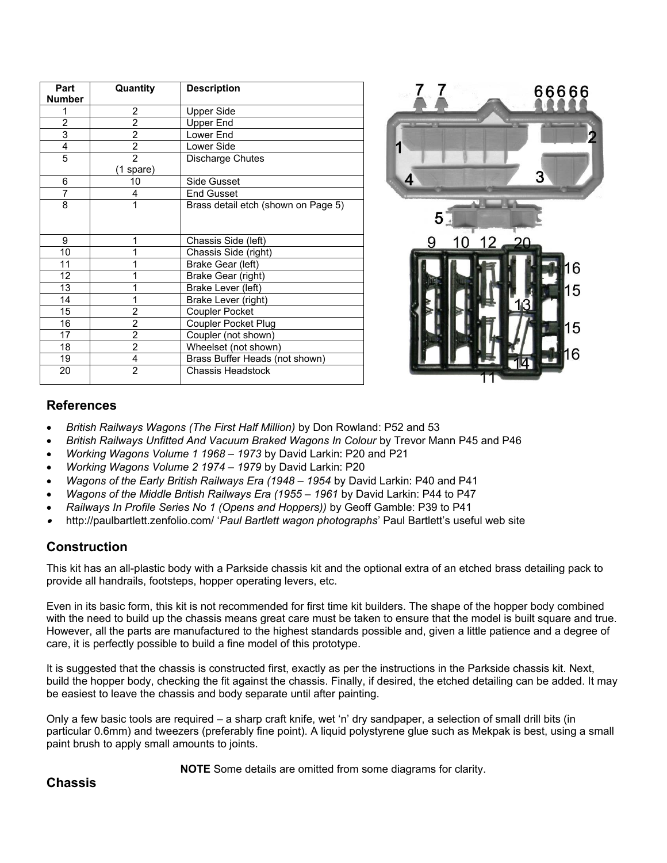| Part<br><b>Number</b>     | Quantity       | <b>Description</b>                  |
|---------------------------|----------------|-------------------------------------|
| 1                         | 2              | <b>Upper Side</b>                   |
| $\overline{2}$            | $\overline{2}$ | Upper End                           |
| $\overline{\overline{3}}$ | 2              | Lower End                           |
| 4                         | $\overline{2}$ | Lower Side                          |
| $\overline{5}$            | $\overline{2}$ | Discharge Chutes                    |
|                           | (1 spare)      |                                     |
| 6                         | 10             | Side Gusset                         |
| 7                         | 4              | <b>End Gusset</b>                   |
| 8                         | 1              | Brass detail etch (shown on Page 5) |
|                           |                |                                     |
| 9                         | 1              | Chassis Side (left)                 |
| 10                        | 1              | Chassis Side (right)                |
| 11                        | 1              | Brake Gear (left)                   |
| 12                        | 1              | Brake Gear (right)                  |
| 13                        | 1              | Brake Lever (left)                  |
| 14                        | 1              | Brake Lever (right)                 |
| 15 <sup>15</sup>          | 2              | <b>Coupler Pocket</b>               |
| 16                        | $\overline{2}$ | Coupler Pocket Plug                 |
| 17                        | $\overline{2}$ | Coupler (not shown)                 |
| 18                        | $\overline{2}$ | Wheelset (not shown)                |
| 19                        | 4              | Brass Buffer Heads (not shown)      |
| 20                        | $\overline{2}$ | Chassis Headstock                   |



#### **References**

- *British Railways Wagons (The First Half Million)* by Don Rowland: P52 and 53
- *British Railways Unfitted And Vacuum Braked Wagons In Colour* by Trevor Mann P45 and P46
- *Working Wagons Volume 1 1968 1973* by David Larkin: P20 and P21
- *Working Wagons Volume 2 1974 1979* by David Larkin: P20
- *Wagons of the Early British Railways Era (1948 1954* by David Larkin: P40 and P41
- *Wagons of the Middle British Railways Era (1955 1961* by David Larkin: P44 to P47
- *Railways In Profile Series No 1 (Opens and Hoppers))* by Geoff Gamble: P39 to P41
- . http://paulbartlett.zenfolio.com/ '*Paul Bartlett wagon photographs*' Paul Bartlett's useful web site

### **Construction**

This kit has an all-plastic body with a Parkside chassis kit and the optional extra of an etched brass detailing pack to provide all handrails, footsteps, hopper operating levers, etc.

Even in its basic form, this kit is not recommended for first time kit builders. The shape of the hopper body combined with the need to build up the chassis means great care must be taken to ensure that the model is built square and true. However, all the parts are manufactured to the highest standards possible and, given a little patience and a degree of care, it is perfectly possible to build a fine model of this prototype.

It is suggested that the chassis is constructed first, exactly as per the instructions in the Parkside chassis kit. Next, build the hopper body, checking the fit against the chassis. Finally, if desired, the etched detailing can be added. It may be easiest to leave the chassis and body separate until after painting.

Only a few basic tools are required – a sharp craft knife, wet 'n' dry sandpaper, a selection of small drill bits (in particular 0.6mm) and tweezers (preferably fine point). A liquid polystyrene glue such as Mekpak is best, using a small paint brush to apply small amounts to joints.

**NOTE** Some details are omitted from some diagrams for clarity.

#### **Chassis**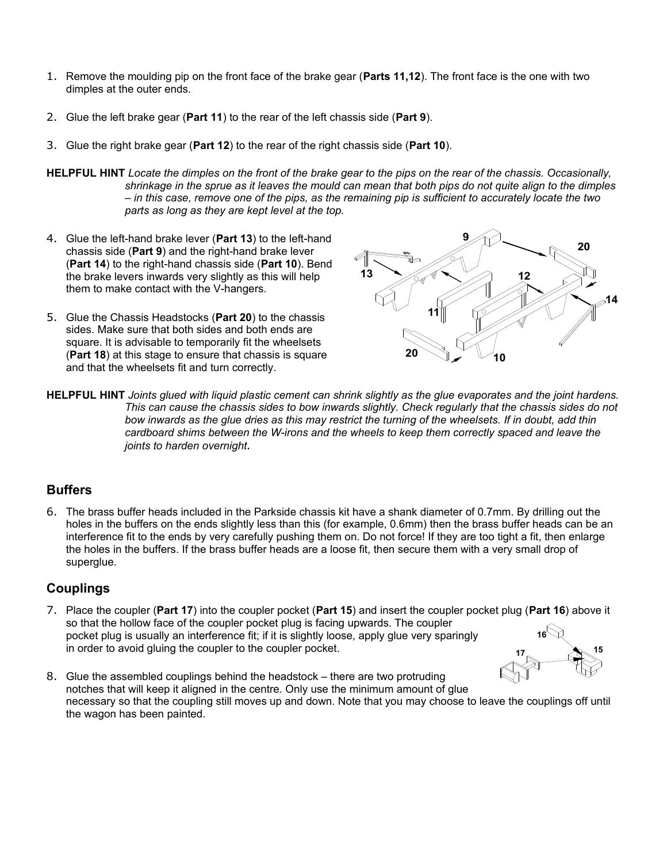- 1. Remove the moulding pip on the front face of the brake gear (**Parts 11,12**). The front face is the one with two dimples at the outer ends.
- 2. Glue the left brake gear (**Part 11**) to the rear of the left chassis side (**Part 9**).
- 3. Glue the right brake gear (**Part 12**) to the rear of the right chassis side (**Part 10**).

**HELPFUL HINT** *Locate the dimples on the front of the brake gear to the pips on the rear of the chassis. Occasionally, shrinkage in the sprue as it leaves the mould can mean that both pips do not quite align to the dimples – in this case, remove one of the pips, as the remaining pip is sufficient to accurately locate the two parts as long as they are kept level at the top.*

- 4. Glue the left-hand brake lever (**Part 13**) to the left-hand chassis side (**Part 9**) and the right-hand brake lever (**Part 14**) to the right-hand chassis side (**Part 10**). Bend the brake levers inwards very slightly as this will help them to make contact with the V-hangers.
- 5. Glue the Chassis Headstocks (**Part 20**) to the chassis sides. Make sure that both sides and both ends are square. It is advisable to temporarily fit the wheelsets (**Part 18**) at this stage to ensure that chassis is square and that the wheelsets fit and turn correctly.



**HELPFUL HINT** *Joints glued with liquid plastic cement can shrink slightly as the glue evaporates and the joint hardens. This can cause the chassis sides to bow inwards slightly. Check regularly that the chassis sides do not bow inwards as the glue dries as this may restrict the turning of the wheelsets. If in doubt, add thin cardboard shims between the W-irons and the wheels to keep them correctly spaced and leave the joints to harden overnight.*

## **Buffers**

6. The brass buffer heads included in the Parkside chassis kit have a shank diameter of 0.7mm. By drilling out the holes in the buffers on the ends slightly less than this (for example, 0.6mm) then the brass buffer heads can be an interference fit to the ends by very carefully pushing them on. Do not force! If they are too tight a fit, then enlarge the holes in the buffers. If the brass buffer heads are a loose fit, then secure them with a very small drop of superglue.

### **Couplings**

- 7. Place the coupler (**Part 17**) into the coupler pocket (**Part 15**) and insert the coupler pocket plug (**Part 16**) above it so that the hollow face of the coupler pocket plug is facing upwards. The coupler pocket plug is usually an interference fit; if it is slightly loose, apply glue very sparingly in order to avoid gluing the coupler to the coupler pocket. **15 17 16**
- 8. Glue the assembled couplings behind the headstock there are two protruding notches that will keep it aligned in the centre. Only use the minimum amount of glue necessary so that the coupling still moves up and down. Note that you may choose to leave the couplings off until the wagon has been painted.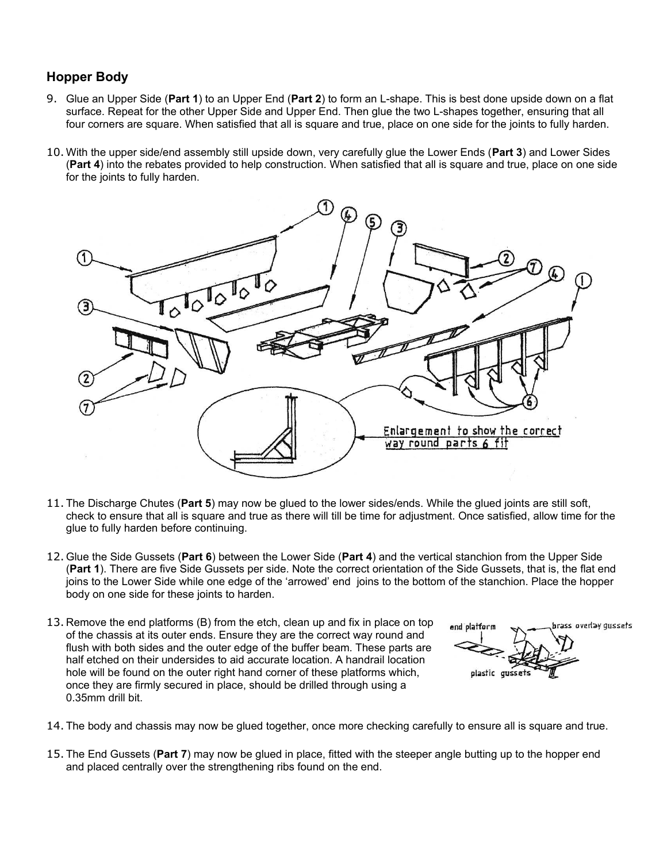### **Hopper Body**

- 9. Glue an Upper Side (**Part 1**) to an Upper End (**Part 2**) to form an L-shape. This is best done upside down on a flat surface. Repeat for the other Upper Side and Upper End. Then glue the two L-shapes together, ensuring that all four corners are square. When satisfied that all is square and true, place on one side for the joints to fully harden.
- 10. With the upper side/end assembly still upside down, very carefully glue the Lower Ends (**Part 3**) and Lower Sides (**Part 4**) into the rebates provided to help construction. When satisfied that all is square and true, place on one side for the joints to fully harden.



- 11. The Discharge Chutes (**Part 5**) may now be glued to the lower sides/ends. While the glued joints are still soft, check to ensure that all is square and true as there will till be time for adjustment. Once satisfied, allow time for the glue to fully harden before continuing.
- 12. Glue the Side Gussets (**Part 6**) between the Lower Side (**Part 4**) and the vertical stanchion from the Upper Side (**Part 1**). There are five Side Gussets per side. Note the correct orientation of the Side Gussets, that is, the flat end joins to the Lower Side while one edge of the 'arrowed' end joins to the bottom of the stanchion. Place the hopper body on one side for these joints to harden.
- 13. Remove the end platforms (B) from the etch, clean up and fix in place on top of the chassis at its outer ends. Ensure they are the correct way round and flush with both sides and the outer edge of the buffer beam. These parts are half etched on their undersides to aid accurate location. A handrail location hole will be found on the outer right hand corner of these platforms which, once they are firmly secured in place, should be drilled through using a 0.35mm drill bit.

brass overlay qussets end platform plastic quisset:

- 14. The body and chassis may now be glued together, once more checking carefully to ensure all is square and true.
- 15. The End Gussets (**Part 7**) may now be glued in place, fitted with the steeper angle butting up to the hopper end and placed centrally over the strengthening ribs found on the end.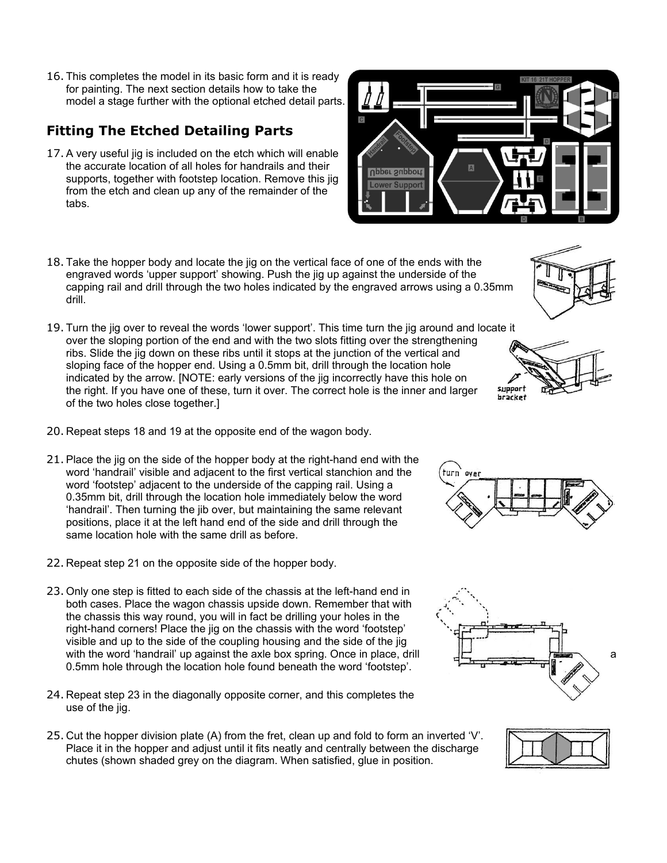16. This completes the model in its basic form and it is ready for painting. The next section details how to take the model a stage further with the optional etched detail parts.

# **Fitting The Etched Detailing Parts**

- 17. A very useful jig is included on the etch which will enable the accurate location of all holes for handrails and their supports, together with footstep location. Remove this jig from the etch and clean up any of the remainder of the tabs.
- 18. Take the hopper body and locate the jig on the vertical face of one of the ends with the engraved words 'upper support' showing. Push the jig up against the underside of the capping rail and drill through the two holes indicated by the engraved arrows using a 0.35mm drill.
- 19. Turn the jig over to reveal the words 'lower support'. This time turn the jig around and locate it over the sloping portion of the end and with the two slots fitting over the strengthening ribs. Slide the jig down on these ribs until it stops at the junction of the vertical and sloping face of the hopper end. Using a 0.5mm bit, drill through the location hole indicated by the arrow. [NOTE: early versions of the jig incorrectly have this hole on the right. If you have one of these, turn it over. The correct hole is the inner and larger of the two holes close together.]
- 20. Repeat steps 18 and 19 at the opposite end of the wagon body.
- 21. Place the jig on the side of the hopper body at the right-hand end with the word 'handrail' visible and adjacent to the first vertical stanchion and the word 'footstep' adjacent to the underside of the capping rail. Using a 0.35mm bit, drill through the location hole immediately below the word 'handrail'. Then turning the jib over, but maintaining the same relevant positions, place it at the left hand end of the side and drill through the same location hole with the same drill as before.
- 22. Repeat step 21 on the opposite side of the hopper body.
- 23. Only one step is fitted to each side of the chassis at the left-hand end in both cases. Place the wagon chassis upside down. Remember that with the chassis this way round, you will in fact be drilling your holes in the right-hand corners! Place the jig on the chassis with the word 'footstep' visible and up to the side of the coupling housing and the side of the jig with the word 'handrail' up against the axle box spring. Once in place, drill  $\Box$ 0.5mm hole through the location hole found beneath the word 'footstep'.
- 24. Repeat step 23 in the diagonally opposite corner, and this completes the use of the jig.
- 25. Cut the hopper division plate (A) from the fret, clean up and fold to form an inverted 'V'. Place it in the hopper and adjust until it fits neatly and centrally between the discharge chutes (shown shaded grey on the diagram. When satisfied, glue in position.